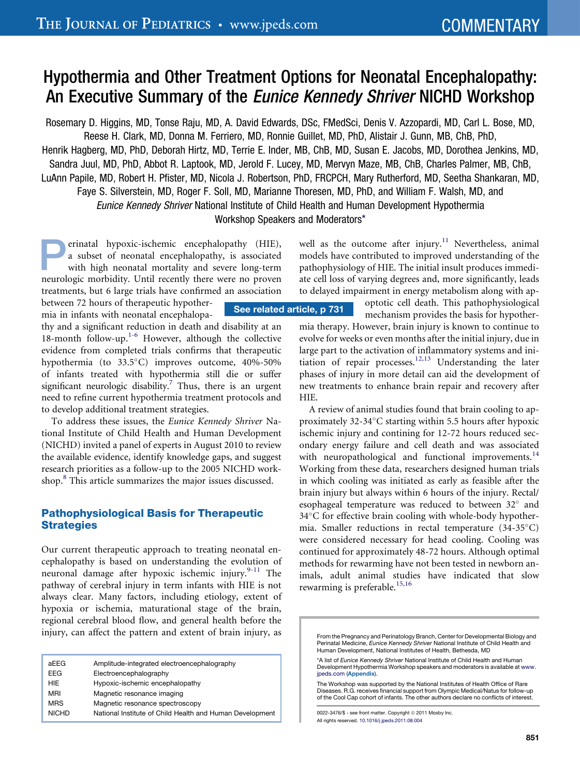# Hypothermia and Other Treatment Options for Neonatal Encephalopathy: An Executive Summary of the Eunice Kennedy Shriver NICHD Workshop

Rosemary D. Higgins, MD, Tonse Raju, MD, A. David Edwards, DSc, FMedSci, Denis V. Azzopardi, MD, Carl L. Bose, MD, Reese H. Clark, MD, Donna M. Ferriero, MD, Ronnie Guillet, MD, PhD, Alistair J. Gunn, MB, ChB, PhD, Henrik Hagberg, MD, PhD, Deborah Hirtz, MD, Terrie E. Inder, MB, ChB, MD, Susan E. Jacobs, MD, Dorothea Jenkins, MD, Sandra Juul, MD, PhD, Abbot R. Laptook, MD, Jerold F. Lucey, MD, Mervyn Maze, MB, ChB, Charles Palmer, MB, ChB, LuAnn Papile, MD, Robert H. Pfister, MD, Nicola J. Robertson, PhD, FRCPCH, Mary Rutherford, MD, Seetha Shankaran, MD, Faye S. Silverstein, MD, Roger F. Soll, MD, Marianne Thoresen, MD, PhD, and William F. Walsh, MD, and **Eunice Kennedy Shriver National Institute of Child Health and Human Development Hypothermia** Workshop Speakers and Moderators\*

erinatal hypoxic-ischemic encephalopathy (HIE), a subset of neonatal encephalopathy, is associated with high neonatal mortality and severe long-term neurologic morbidity. Until recently there were no proven treatments, but 6 large trials have confirmed an association

between 72 hours of therapeutic hypothermia in infants with neonatal encephalopa-

thy and a significant reduction in death and disability at an 18-month follow-up. $1-6$  However, although the collective evidence from completed trials confirms that therapeutic hypothermia (to 33.5°C) improves outcome, 40%-50% of infants treated with hypothermia still die or suffer significant neurologic disability.<sup>[7](#page-5-0)</sup> Thus, there is an urgent need to refine current hypothermia treatment protocols and to develop additional treatment strategies.

To address these issues, the Eunice Kennedy Shriver National Institute of Child Health and Human Development (NICHD) invited a panel of experts in August 2010 to review the available evidence, identify knowledge gaps, and suggest research priorities as a follow-up to the 2005 NICHD work-shop.<sup>[8](#page-5-0)</sup> This article summarizes the major issues discussed.

# Pathophysiological Basis for Therapeutic **Strategies**

Our current therapeutic approach to treating neonatal encephalopathy is based on understanding the evolution of neuronal damage after hypoxic ischemic injury.<sup>[9-11](#page-5-0)</sup> The pathway of cerebral injury in term infants with HIE is not always clear. Many factors, including etiology, extent of hypoxia or ischemia, maturational stage of the brain, regional cerebral blood flow, and general health before the injury, can affect the pattern and extent of brain injury, as

| aEEG         | Amplitude-integrated electroencephalography              |
|--------------|----------------------------------------------------------|
| EEG          | Electroencephalography                                   |
| <b>HIE</b>   | Hypoxic-ischemic encephalopathy                          |
| <b>MRI</b>   | Magnetic resonance imaging                               |
| <b>MRS</b>   | Magnetic resonance spectroscopy                          |
| <b>NICHD</b> | National Institute of Child Health and Human Development |

well as the outcome after injury.<sup>[11](#page-6-0)</sup> Nevertheless, animal models have contributed to improved understanding of the pathophysiology of HIE. The initial insult produces immediate cell loss of varying degrees and, more significantly, leads to delayed impairment in energy metabolism along with ap-

optotic cell death. This pathophysiological mechanism provides the basis for hypothermia therapy. However, brain injury is known to continue to evolve for weeks or even months after the initial injury, due in large part to the activation of inflammatory systems and ini-tiation of repair processes.<sup>[12,13](#page-6-0)</sup> Understanding the later phases of injury in more detail can aid the development of new treatments to enhance brain repair and recovery after HIE. See related article, p 731

> A review of animal studies found that brain cooling to approximately  $32-34^{\circ}$ C starting within 5.5 hours after hypoxic ischemic injury and contining for 12-72 hours reduced secondary energy failure and cell death and was associated with neuropathological and functional improvements.<sup>[14](#page-6-0)</sup> Working from these data, researchers designed human trials in which cooling was initiated as early as feasible after the brain injury but always within 6 hours of the injury. Rectal/ esophageal temperature was reduced to between 32° and 34°C for effective brain cooling with whole-body hypothermia. Smaller reductions in rectal temperature  $(34-35^{\circ}C)$ were considered necessary for head cooling. Cooling was continued for approximately 48-72 hours. Although optimal methods for rewarming have not been tested in newborn animals, adult animal studies have indicated that slow rewarming is preferable.<sup>[15,16](#page-6-0)</sup>

From the Pregnancy and Perinatology Branch, Center for Developmental Biology and Perinatal Medicine, *Eunice Kennedy Shriver* National Institute of Child Health and Human Development, National Institutes of Health, Bethesda, MD

\*A list of *Eunice Kennedy Shriver* National Institute of Child Health and Human Development Hypothermia Workshop speakers and moderators is available at [www.](http://www.jpeds.com) [jpeds.com](http://www.jpeds.com) ([Appendix](#page-8-0)).

The Workshop was supported by the National Institutes of Health Office of Rare Diseases. R.G. receives financial support from Olympic Medical/Natus for follow-up of the Cool Cap cohort of infants. The other authors declare no conflicts of interest.

0022-3476/\$ - see front matter. Copyright © 2011 Mosby Inc. All rights reserved. [10.1016/j.jpeds.2011.08.004](http://dx.doi.org/10.1016/j.jpeds.2011.08.004)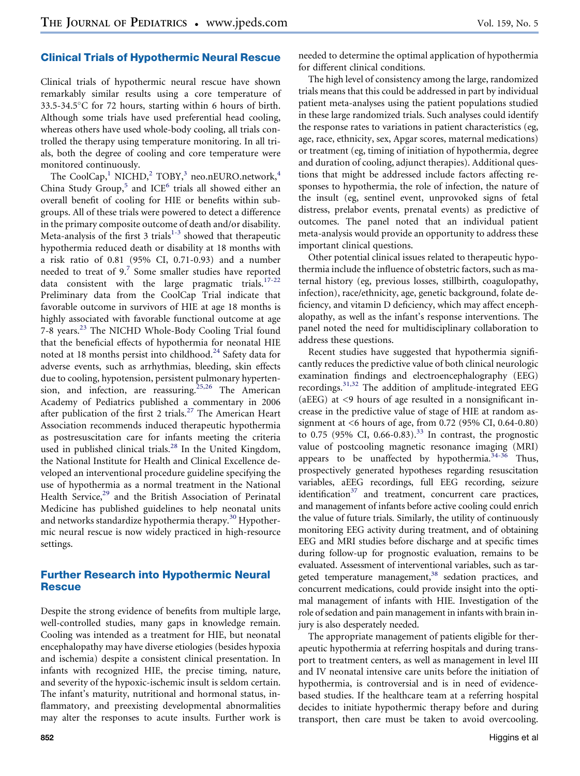## Clinical Trials of Hypothermic Neural Rescue

Clinical trials of hypothermic neural rescue have shown remarkably similar results using a core temperature of 33.5-34.5C for 72 hours, starting within 6 hours of birth. Although some trials have used preferential head cooling, whereas others have used whole-body cooling, all trials controlled the therapy using temperature monitoring. In all trials, both the degree of cooling and core temperature were monitored continuously.

The CoolCap, $1$  NICHD, $2$  TOBY, $3$  neo.nEURO.network, $4$ China Study Group, $5$  and ICE<sup>[6](#page-5-0)</sup> trials all showed either an overall benefit of cooling for HIE or benefits within subgroups. All of these trials were powered to detect a difference in the primary composite outcome of death and/or disability. Meta-analysis of the first 3 trials $1-3$  showed that therapeutic hypothermia reduced death or disability at 18 months with a risk ratio of 0.81 (95% CI, 0.71-0.93) and a number needed to treat of  $9<sup>7</sup>$  $9<sup>7</sup>$  $9<sup>7</sup>$  Some smaller studies have reported data consistent with the large pragmatic trials. $17-22$ Preliminary data from the CoolCap Trial indicate that favorable outcome in survivors of HIE at age 18 months is highly associated with favorable functional outcome at age 7-8 years[.23](#page-6-0) The NICHD Whole-Body Cooling Trial found that the beneficial effects of hypothermia for neonatal HIE noted at 18 months persist into childhood.<sup>[24](#page-6-0)</sup> Safety data for adverse events, such as arrhythmias, bleeding, skin effects due to cooling, hypotension, persistent pulmonary hyperten-sion, and infection, are reassuring.<sup>[25,26](#page-6-0)</sup> The American Academy of Pediatrics published a commentary in 2006 after publication of the first 2 trials.<sup>[27](#page-6-0)</sup> The American Heart Association recommends induced therapeutic hypothermia as postresuscitation care for infants meeting the criteria used in published clinical trials.<sup>[28](#page-6-0)</sup> In the United Kingdom, the National Institute for Health and Clinical Excellence developed an interventional procedure guideline specifying the use of hypothermia as a normal treatment in the National Health Service,<sup>29</sup> and the British Association of Perinatal Medicine has published guidelines to help neonatal units and networks standardize hypothermia therapy.<sup>[30](#page-6-0)</sup> Hypothermic neural rescue is now widely practiced in high-resource settings.

#### Further Research into Hypothermic Neural **Rescue**

Despite the strong evidence of benefits from multiple large, well-controlled studies, many gaps in knowledge remain. Cooling was intended as a treatment for HIE, but neonatal encephalopathy may have diverse etiologies (besides hypoxia and ischemia) despite a consistent clinical presentation. In infants with recognized HIE, the precise timing, nature, and severity of the hypoxic-ischemic insult is seldom certain. The infant's maturity, nutritional and hormonal status, inflammatory, and preexisting developmental abnormalities may alter the responses to acute insults. Further work is needed to determine the optimal application of hypothermia for different clinical conditions.

The high level of consistency among the large, randomized trials means that this could be addressed in part by individual patient meta-analyses using the patient populations studied in these large randomized trials. Such analyses could identify the response rates to variations in patient characteristics (eg, age, race, ethnicity, sex, Apgar scores, maternal medications) or treatment (eg, timing of initiation of hypothermia, degree and duration of cooling, adjunct therapies). Additional questions that might be addressed include factors affecting responses to hypothermia, the role of infection, the nature of the insult (eg, sentinel event, unprovoked signs of fetal distress, prelabor events, prenatal events) as predictive of outcomes. The panel noted that an individual patient meta-analysis would provide an opportunity to address these important clinical questions.

Other potential clinical issues related to therapeutic hypothermia include the influence of obstetric factors, such as maternal history (eg, previous losses, stillbirth, coagulopathy, infection), race/ethnicity, age, genetic background, folate deficiency, and vitamin D deficiency, which may affect encephalopathy, as well as the infant's response interventions. The panel noted the need for multidisciplinary collaboration to address these questions.

Recent studies have suggested that hypothermia significantly reduces the predictive value of both clinical neurologic examination findings and electroencephalography (EEG) recordings.[31,32](#page-6-0) The addition of amplitude-integrated EEG (aEEG) at <9 hours of age resulted in a nonsignificant increase in the predictive value of stage of HIE at random assignment at <6 hours of age, from 0.72 (95% CI, 0.64-0.80) to 0.75 (95% CI, 0.66-0.83).<sup>[33](#page-6-0)</sup> In contrast, the prognostic value of postcooling magnetic resonance imaging (MRI) appears to be unaffected by hypothermia. $34-36$  Thus, prospectively generated hypotheses regarding resuscitation variables, aEEG recordings, full EEG recording, seizure  $identification<sup>37</sup>$  $identification<sup>37</sup>$  $identification<sup>37</sup>$  and treatment, concurrent care practices, and management of infants before active cooling could enrich the value of future trials. Similarly, the utility of continuously monitoring EEG activity during treatment, and of obtaining EEG and MRI studies before discharge and at specific times during follow-up for prognostic evaluation, remains to be evaluated. Assessment of interventional variables, such as tar-geted temperature management,<sup>[38](#page-6-0)</sup> sedation practices, and concurrent medications, could provide insight into the optimal management of infants with HIE. Investigation of the role of sedation and pain management in infants with brain injury is also desperately needed.

The appropriate management of patients eligible for therapeutic hypothermia at referring hospitals and during transport to treatment centers, as well as management in level III and IV neonatal intensive care units before the initiation of hypothermia, is controversial and is in need of evidencebased studies. If the healthcare team at a referring hospital decides to initiate hypothermic therapy before and during transport, then care must be taken to avoid overcooling.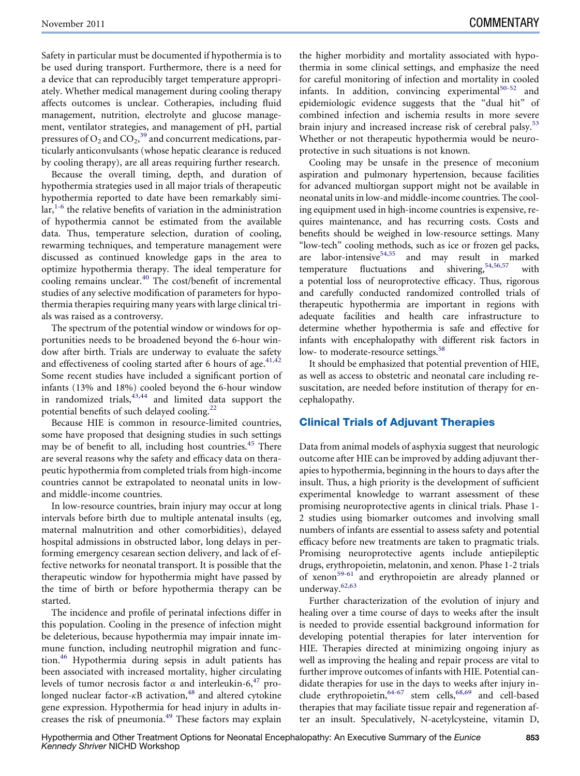Safety in particular must be documented if hypothermia is to be used during transport. Furthermore, there is a need for a device that can reproducibly target temperature appropriately. Whether medical management during cooling therapy affects outcomes is unclear. Cotherapies, including fluid management, nutrition, electrolyte and glucose management, ventilator strategies, and management of pH, partial pressures of  $O_2$  and  $CO_2$ ,<sup>[39](#page-6-0)</sup> and concurrent medications, particularly anticonvulsants (whose hepatic clearance is reduced by cooling therapy), are all areas requiring further research.

Because the overall timing, depth, and duration of hypothermia strategies used in all major trials of therapeutic hypothermia reported to date have been remarkably simi- $\ar{1}$ <sup>[1-6](#page-5-0)</sup> the relative benefits of variation in the administration of hypothermia cannot be estimated from the available data. Thus, temperature selection, duration of cooling, rewarming techniques, and temperature management were discussed as continued knowledge gaps in the area to optimize hypothermia therapy. The ideal temperature for cooling remains unclear.[40](#page-6-0) The cost/benefit of incremental studies of any selective modification of parameters for hypothermia therapies requiring many years with large clinical trials was raised as a controversy.

The spectrum of the potential window or windows for opportunities needs to be broadened beyond the 6-hour window after birth. Trials are underway to evaluate the safety and effectiveness of cooling started after 6 hours of age. $41,42$ Some recent studies have included a significant portion of infants (13% and 18%) cooled beyond the 6-hour window in randomized trials,<sup>[43,44](#page-6-0)</sup> and limited data support the potential benefits of such delayed cooling.<sup>[22](#page-6-0)</sup>

Because HIE is common in resource-limited countries, some have proposed that designing studies in such settings may be of benefit to all, including host countries.<sup>[45](#page-6-0)</sup> There are several reasons why the safety and efficacy data on therapeutic hypothermia from completed trials from high-income countries cannot be extrapolated to neonatal units in lowand middle-income countries.

In low-resource countries, brain injury may occur at long intervals before birth due to multiple antenatal insults (eg, maternal malnutrition and other comorbidities), delayed hospital admissions in obstructed labor, long delays in performing emergency cesarean section delivery, and lack of effective networks for neonatal transport. It is possible that the therapeutic window for hypothermia might have passed by the time of birth or before hypothermia therapy can be started.

The incidence and profile of perinatal infections differ in this population. Cooling in the presence of infection might be deleterious, because hypothermia may impair innate immune function, including neutrophil migration and function.[46](#page-6-0) Hypothermia during sepsis in adult patients has been associated with increased mortality, higher circulating levels of tumor necrosis factor  $\alpha$  and interleukin-6,<sup>[47](#page-6-0)</sup> prolonged nuclear factor- $\kappa$ B activation,<sup>[48](#page-6-0)</sup> and altered cytokine gene expression. Hypothermia for head injury in adults increases the risk of pneumonia. $49$  These factors may explain the higher morbidity and mortality associated with hypothermia in some clinical settings, and emphasize the need for careful monitoring of infection and mortality in cooled infants. In addition, convincing experimental $50-52$  and epidemiologic evidence suggests that the "dual hit" of combined infection and ischemia results in more severe brain injury and increased increase risk of cerebral palsy.<sup>[53](#page-7-0)</sup> Whether or not therapeutic hypothermia would be neuroprotective in such situations is not known.

Cooling may be unsafe in the presence of meconium aspiration and pulmonary hypertension, because facilities for advanced multiorgan support might not be available in neonatal units in low-and middle-income countries. The cooling equipment used in high-income countries is expensive, requires maintenance, and has recurring costs. Costs and benefits should be weighed in low-resource settings. Many ''low-tech'' cooling methods, such as ice or frozen gel packs, are labor-intensive<sup>54,55</sup> and may result in marked temperature fluctuations and shivering[,54,56,57](#page-7-0) with a potential loss of neuroprotective efficacy. Thus, rigorous and carefully conducted randomized controlled trials of therapeutic hypothermia are important in regions with adequate facilities and health care infrastructure to determine whether hypothermia is safe and effective for infants with encephalopathy with different risk factors in low- to moderate-resource settings.<sup>58</sup>

It should be emphasized that potential prevention of HIE, as well as access to obstetric and neonatal care including resuscitation, are needed before institution of therapy for encephalopathy.

# Clinical Trials of Adjuvant Therapies

Data from animal models of asphyxia suggest that neurologic outcome after HIE can be improved by adding adjuvant therapies to hypothermia, beginning in the hours to days after the insult. Thus, a high priority is the development of sufficient experimental knowledge to warrant assessment of these promising neuroprotective agents in clinical trials. Phase 1- 2 studies using biomarker outcomes and involving small numbers of infants are essential to assess safety and potential efficacy before new treatments are taken to pragmatic trials. Promising neuroprotective agents include antiepileptic drugs, erythropoietin, melatonin, and xenon. Phase 1-2 trials of xenon<sup>[59-61](#page-7-0)</sup> and erythropoietin are already planned or underway.<sup>[62,63](#page-7-0)</sup>

Further characterization of the evolution of injury and healing over a time course of days to weeks after the insult is needed to provide essential background information for developing potential therapies for later intervention for HIE. Therapies directed at minimizing ongoing injury as well as improving the healing and repair process are vital to further improve outcomes of infants with HIE. Potential candidate therapies for use in the days to weeks after injury include erythropoietin,  $64-67$  stem cells,  $68,69$  and cell-based therapies that may faciliate tissue repair and regeneration after an insult. Speculatively, N-acetylcysteine, vitamin D,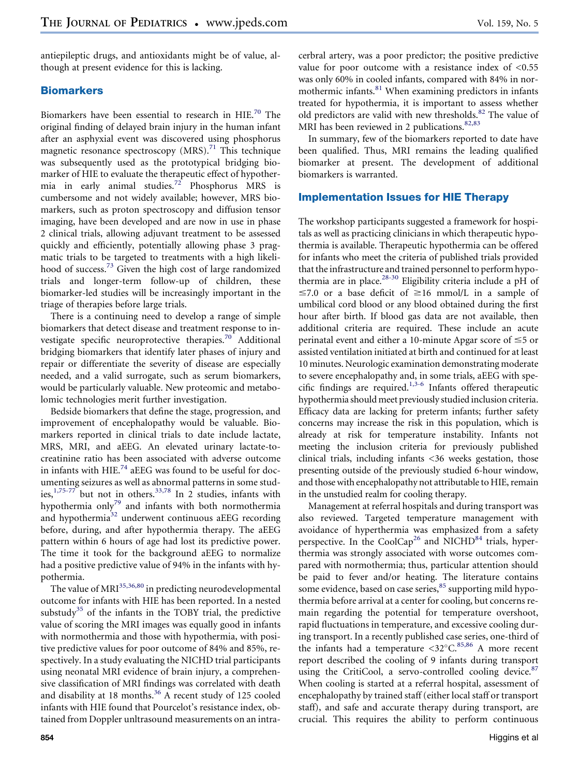antiepileptic drugs, and antioxidants might be of value, although at present evidence for this is lacking.

# **Biomarkers**

Biomarkers have been essential to research in HIE.<sup>[70](#page-7-0)</sup> The original finding of delayed brain injury in the human infant after an asphyxial event was discovered using phosphorus magnetic resonance spectroscopy  $(MRS)$ .<sup>[71](#page-7-0)</sup> This technique was subsequently used as the prototypical bridging biomarker of HIE to evaluate the therapeutic effect of hypothermia in early animal studies.[72](#page-7-0) Phosphorus MRS is cumbersome and not widely available; however, MRS biomarkers, such as proton spectroscopy and diffusion tensor imaging, have been developed and are now in use in phase 2 clinical trials, allowing adjuvant treatment to be assessed quickly and efficiently, potentially allowing phase 3 pragmatic trials to be targeted to treatments with a high likelihood of success.[73](#page-7-0) Given the high cost of large randomized trials and longer-term follow-up of children, these biomarker-led studies will be increasingly important in the triage of therapies before large trials.

There is a continuing need to develop a range of simple biomarkers that detect disease and treatment response to in-vestigate specific neuroprotective therapies.<sup>[70](#page-7-0)</sup> Additional bridging biomarkers that identify later phases of injury and repair or differentiate the severity of disease are especially needed, and a valid surrogate, such as serum biomarkers, would be particularly valuable. New proteomic and metabolomic technologies merit further investigation.

Bedside biomarkers that define the stage, progression, and improvement of encephalopathy would be valuable. Biomarkers reported in clinical trials to date include lactate, MRS, MRI, and aEEG. An elevated urinary lactate-tocreatinine ratio has been associated with adverse outcome in infants with HIE.[74](#page-7-0) aEEG was found to be useful for documenting seizures as well as abnormal patterns in some studies, $1,75-77$  but not in others.<sup>[33,78](#page-6-0)</sup> In 2 studies, infants with hypothermia only<sup>[79](#page-7-0)</sup> and infants with both normothermia and hypothermia<sup>[32](#page-6-0)</sup> underwent continuous aEEG recording before, during, and after hypothermia therapy. The aEEG pattern within 6 hours of age had lost its predictive power. The time it took for the background aEEG to normalize had a positive predictive value of 94% in the infants with hypothermia.

The value of MRI<sup>[35,36,80](#page-6-0)</sup> in predicting neurodevelopmental outcome for infants with HIE has been reported. In a nested substudy $35$  of the infants in the TOBY trial, the predictive value of scoring the MRI images was equally good in infants with normothermia and those with hypothermia, with positive predictive values for poor outcome of 84% and 85%, respectively. In a study evaluating the NICHD trial participants using neonatal MRI evidence of brain injury, a comprehensive classification of MRI findings was correlated with death and disability at 18 months.<sup>[36](#page-6-0)</sup> A recent study of 125 cooled infants with HIE found that Pourcelot's resistance index, obtained from Doppler unltrasound measurements on an intracerbral artery, was a poor predictor; the positive predictive value for poor outcome with a resistance index of <0.55 was only 60% in cooled infants, compared with 84% in nor-mothermic infants.<sup>[81](#page-7-0)</sup> When examining predictors in infants treated for hypothermia, it is important to assess whether old predictors are valid with new thresholds.<sup>[82](#page-7-0)</sup> The value of MRI has been reviewed in 2 publications.<sup>[82,83](#page-7-0)</sup>

In summary, few of the biomarkers reported to date have been qualified. Thus, MRI remains the leading qualified biomarker at present. The development of additional biomarkers is warranted.

# Implementation Issues for HIE Therapy

The workshop participants suggested a framework for hospitals as well as practicing clinicians in which therapeutic hypothermia is available. Therapeutic hypothermia can be offered for infants who meet the criteria of published trials provided that the infrastructure and trained personnel to perform hypothermia are in place.<sup>28-30</sup> Eligibility criteria include a pH of  $\leq$ 7.0 or a base deficit of  $\geq$ 16 mmol/L in a sample of umbilical cord blood or any blood obtained during the first hour after birth. If blood gas data are not available, then additional criteria are required. These include an acute perinatal event and either a 10-minute Apgar score of  $\leq$  5 or assisted ventilation initiated at birth and continued for at least 10 minutes. Neurologic examination demonstrating moderate to severe encephalopathy and, in some trials, aEEG with specific findings are required.[1,3-6](#page-5-0) Infants offered therapeutic hypothermia should meet previously studied inclusion criteria. Efficacy data are lacking for preterm infants; further safety concerns may increase the risk in this population, which is already at risk for temperature instability. Infants not meeting the inclusion criteria for previously published clinical trials, including infants <36 weeks gestation, those presenting outside of the previously studied 6-hour window, and those with encephalopathy not attributable to HIE, remain in the unstudied realm for cooling therapy.

Management at referral hospitals and during transport was also reviewed. Targeted temperature management with avoidance of hyperthermia was emphasized from a safety perspective. In the CoolCap<sup>26</sup> and NICHD<sup>[84](#page-7-0)</sup> trials, hyperthermia was strongly associated with worse outcomes compared with normothermia; thus, particular attention should be paid to fever and/or heating. The literature contains some evidence, based on case series,<sup>[85](#page-7-0)</sup> supporting mild hypothermia before arrival at a center for cooling, but concerns remain regarding the potential for temperature overshoot, rapid fluctuations in temperature, and excessive cooling during transport. In a recently published case series, one-third of the infants had a temperature  $\langle 32^{\circ} \text{C}^{85,86} \rangle$  $\langle 32^{\circ} \text{C}^{85,86} \rangle$  $\langle 32^{\circ} \text{C}^{85,86} \rangle$  A more recent report described the cooling of 9 infants during transport using the CritiCool, a servo-controlled cooling device.<sup>[87](#page-7-0)</sup> When cooling is started at a referral hospital, assessment of encephalopathy by trained staff (either local staff or transport staff), and safe and accurate therapy during transport, are crucial. This requires the ability to perform continuous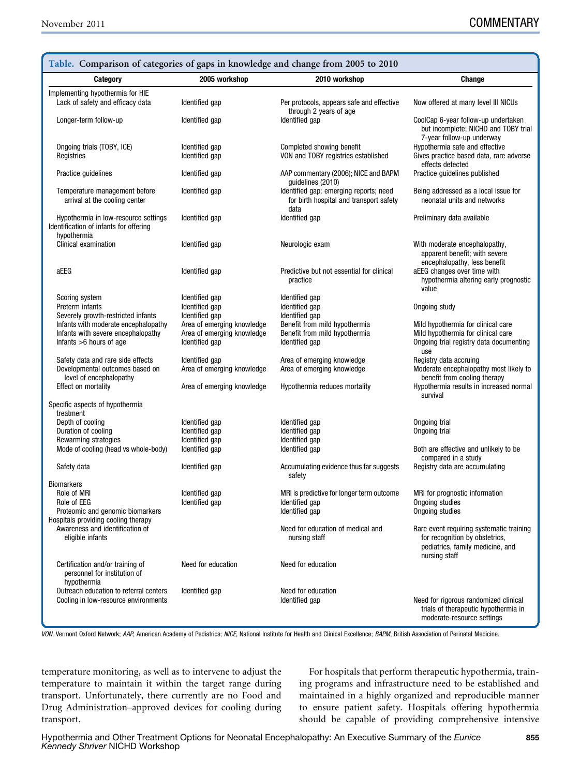<span id="page-4-0"></span>

| Table. Comparison of categories of gaps in knowledge and change from 2005 to 2010                                      |                                                                            |                                                                                                                               |                                                                                                                                                                                                     |
|------------------------------------------------------------------------------------------------------------------------|----------------------------------------------------------------------------|-------------------------------------------------------------------------------------------------------------------------------|-----------------------------------------------------------------------------------------------------------------------------------------------------------------------------------------------------|
| <b>Category</b>                                                                                                        | 2005 workshop                                                              | 2010 workshop                                                                                                                 | Change                                                                                                                                                                                              |
| Implementing hypothermia for HIE<br>Lack of safety and efficacy data<br>Longer-term follow-up                          | Identified gap<br>Identified gap                                           | Per protocols, appears safe and effective<br>through 2 years of age<br>Identified gap                                         | Now offered at many level III NICUs<br>CoolCap 6-year follow-up undertaken                                                                                                                          |
| Ongoing trials (TOBY, ICE)<br>Registries<br>Practice guidelines                                                        | Identified gap<br>Identified gap<br>Identified gap                         | Completed showing benefit<br>VON and TOBY registries established<br>AAP commentary (2006); NICE and BAPM<br>guidelines (2010) | but incomplete; NICHD and TOBY trial<br>7-year follow-up underway<br>Hypothermia safe and effective<br>Gives practice based data, rare adverse<br>effects detected<br>Practice guidelines published |
| Temperature management before<br>arrival at the cooling center                                                         | Identified gap                                                             | Identified gap: emerging reports; need<br>for birth hospital and transport safety<br>data                                     | Being addressed as a local issue for<br>neonatal units and networks                                                                                                                                 |
| Hypothermia in low-resource settings<br>Identification of infants for offering<br>hypothermia                          | Identified gap                                                             | Identified gap                                                                                                                | Preliminary data available                                                                                                                                                                          |
| Clinical examination                                                                                                   | Identified gap                                                             | Neurologic exam                                                                                                               | With moderate encephalopathy,<br>apparent benefit; with severe<br>encephalopathy, less benefit                                                                                                      |
| aEEG                                                                                                                   | Identified gap                                                             | Predictive but not essential for clinical<br>practice                                                                         | aEEG changes over time with<br>hypothermia altering early prognostic<br>value                                                                                                                       |
| Scoring system<br>Preterm infants<br>Severely growth-restricted infants                                                | Identified gap<br>Identified gap<br>Identified gap                         | Identified gap<br>Identified gap<br>Identified gap                                                                            | Ongoing study                                                                                                                                                                                       |
| Infants with moderate encephalopathy<br>Infants with severe encephalopathy<br>Infants $>6$ hours of age                | Area of emerging knowledge<br>Area of emerging knowledge<br>Identified gap | Benefit from mild hypothermia<br>Benefit from mild hypothermia<br>Identified gap                                              | Mild hypothermia for clinical care<br>Mild hypothermia for clinical care<br>Ongoing trial registry data documenting<br>use                                                                          |
| Safety data and rare side effects<br>Developmental outcomes based on<br>level of encephalopathy<br>Effect on mortality | Identified gap<br>Area of emerging knowledge<br>Area of emerging knowledge | Area of emerging knowledge<br>Area of emerging knowledge<br>Hypothermia reduces mortality                                     | Registry data accruing<br>Moderate encephalopathy most likely to<br>benefit from cooling therapy<br>Hypothermia results in increased normal<br>survival                                             |
| Specific aspects of hypothermia<br>treatment                                                                           |                                                                            |                                                                                                                               |                                                                                                                                                                                                     |
| Depth of cooling<br>Duration of cooling<br>Rewarming strategies                                                        | Identified gap<br>Identified gap<br>Identified gap                         | Identified gap<br>Identified gap<br>Identified gap                                                                            | Ongoing trial<br>Ongoing trial                                                                                                                                                                      |
| Mode of cooling (head vs whole-body)                                                                                   | Identified gap                                                             | Identified gap                                                                                                                | Both are effective and unlikely to be<br>compared in a study                                                                                                                                        |
| Safety data<br><b>Biomarkers</b>                                                                                       | Identified gap                                                             | Accumulating evidence thus far suggests<br>safety                                                                             | Registry data are accumulating                                                                                                                                                                      |
| Role of MRI<br>Role of EEG<br>Proteomic and genomic biomarkers<br>Hospitals providing cooling therapy                  | Identified gap<br>Identified gap                                           | MRI is predictive for longer term outcome<br>Identified gap<br>Identified gap                                                 | MRI for prognostic information<br>Ongoing studies<br>Ongoing studies                                                                                                                                |
| Awareness and identification of<br>eligible infants                                                                    |                                                                            | Need for education of medical and<br>nursing staff                                                                            | Rare event requiring systematic training<br>for recognition by obstetrics,<br>pediatrics, family medicine, and<br>nursing staff                                                                     |
| Certification and/or training of<br>personnel for institution of<br>hypothermia                                        | Need for education                                                         | Need for education                                                                                                            |                                                                                                                                                                                                     |
| Outreach education to referral centers<br>Cooling in low-resource environments                                         | Identified gap                                                             | Need for education<br>Identified gap                                                                                          | Need for rigorous randomized clinical<br>trials of therapeutic hypothermia in<br>moderate-resource settings                                                                                         |

VON, Vermont Oxford Network; AAP, American Academy of Pediatrics; NICE, National Institute for Health and Clinical Excellence; BAPM, British Association of Perinatal Medicine.

temperature monitoring, as well as to intervene to adjust the temperature to maintain it within the target range during transport. Unfortunately, there currently are no Food and Drug Administration–approved devices for cooling during transport.

For hospitals that perform therapeutic hypothermia, training programs and infrastructure need to be established and maintained in a highly organized and reproducible manner to ensure patient safety. Hospitals offering hypothermia should be capable of providing comprehensive intensive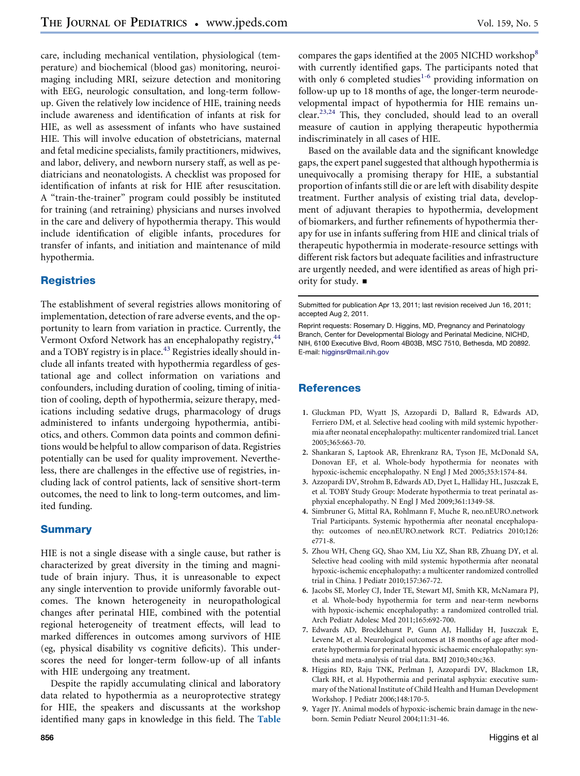<span id="page-5-0"></span>care, including mechanical ventilation, physiological (temperature) and biochemical (blood gas) monitoring, neuroimaging including MRI, seizure detection and monitoring with EEG, neurologic consultation, and long-term followup. Given the relatively low incidence of HIE, training needs include awareness and identification of infants at risk for HIE, as well as assessment of infants who have sustained HIE. This will involve education of obstetricians, maternal and fetal medicine specialists, family practitioners, midwives, and labor, delivery, and newborn nursery staff, as well as pediatricians and neonatologists. A checklist was proposed for identification of infants at risk for HIE after resuscitation. A ''train-the-trainer'' program could possibly be instituted for training (and retraining) physicians and nurses involved in the care and delivery of hypothermia therapy. This would include identification of eligible infants, procedures for transfer of infants, and initiation and maintenance of mild hypothermia.

#### **Registries**

The establishment of several registries allows monitoring of implementation, detection of rare adverse events, and the opportunity to learn from variation in practice. Currently, the Vermont Oxford Network has an encephalopathy registry,<sup>[44](#page-6-0)</sup> and a TOBY registry is in place.<sup>[43](#page-6-0)</sup> Registries ideally should include all infants treated with hypothermia regardless of gestational age and collect information on variations and confounders, including duration of cooling, timing of initiation of cooling, depth of hypothermia, seizure therapy, medications including sedative drugs, pharmacology of drugs administered to infants undergoing hypothermia, antibiotics, and others. Common data points and common definitions would be helpful to allow comparison of data. Registries potentially can be used for quality improvement. Nevertheless, there are challenges in the effective use of registries, including lack of control patients, lack of sensitive short-term outcomes, the need to link to long-term outcomes, and limited funding.

#### **Summary**

HIE is not a single disease with a single cause, but rather is characterized by great diversity in the timing and magnitude of brain injury. Thus, it is unreasonable to expect any single intervention to provide uniformly favorable outcomes. The known heterogeneity in neuropathological changes after perinatal HIE, combined with the potential regional heterogeneity of treatment effects, will lead to marked differences in outcomes among survivors of HIE (eg, physical disability vs cognitive deficits). This underscores the need for longer-term follow-up of all infants with HIE undergoing any treatment.

Despite the rapidly accumulating clinical and laboratory data related to hypothermia as a neuroprotective strategy for HIE, the speakers and discussants at the workshop identified many gaps in knowledge in this field. The [Table](#page-4-0)

compares the gaps identified at the 2005 NICHD workshop<sup>8</sup> with currently identified gaps. The participants noted that with only 6 completed studies<sup>1-6</sup> providing information on follow-up up to 18 months of age, the longer-term neurodevelopmental impact of hypothermia for HIE remains unclear.[23,24](#page-6-0) This, they concluded, should lead to an overall measure of caution in applying therapeutic hypothermia indiscriminately in all cases of HIE.

Based on the available data and the significant knowledge gaps, the expert panel suggested that although hypothermia is unequivocally a promising therapy for HIE, a substantial proportion of infants still die or are left with disability despite treatment. Further analysis of existing trial data, development of adjuvant therapies to hypothermia, development of biomarkers, and further refinements of hypothermia therapy for use in infants suffering from HIE and clinical trials of therapeutic hypothermia in moderate-resource settings with different risk factors but adequate facilities and infrastructure are urgently needed, and were identified as areas of high priority for study.  $\blacksquare$ 

#### **References**

- 1. Gluckman PD, Wyatt JS, Azzopardi D, Ballard R, Edwards AD, Ferriero DM, et al. Selective head cooling with mild systemic hypothermia after neonatal encephalopathy: multicenter randomized trial. Lancet 2005;365:663-70.
- 2. Shankaran S, Laptook AR, Ehrenkranz RA, Tyson JE, McDonald SA, Donovan EF, et al. Whole-body hypothermia for neonates with hypoxic-ischemic encephalopathy. N Engl J Med 2005;353:1574-84.
- 3. Azzopardi DV, Strohm B, Edwards AD, Dyet L, Halliday HL, Juszczak E, et al. TOBY Study Group: Moderate hypothermia to treat perinatal asphyxial encephalopathy. N Engl J Med 2009;361:1349-58.
- 4. Simbruner G, Mittal RA, Rohlmann F, Muche R, neo.nEURO.network Trial Participants. Systemic hypothermia after neonatal encephalopathy: outcomes of neo.nEURO.network RCT. Pediatrics 2010;126: e771-8.
- 5. Zhou WH, Cheng GQ, Shao XM, Liu XZ, Shan RB, Zhuang DY, et al. Selective head cooling with mild systemic hypothermia after neonatal hypoxic-ischemic encephalopathy: a multicenter randomized controlled trial in China. J Pediatr 2010;157:367-72.
- 6. Jacobs SE, Morley CJ, Inder TE, Stewart MJ, Smith KR, McNamara PJ, et al. Whole-body hypothermia for term and near-term newborns with hypoxic-ischemic encephalopathy: a randomized controlled trial. Arch Pediatr Adolesc Med 2011;165:692-700.
- 7. Edwards AD, Brocklehurst P, Gunn AJ, Halliday H, Juszczak E, Levene M, et al. Neurological outcomes at 18 months of age after moderate hypothermia for perinatal hypoxic ischaemic encephalopathy: synthesis and meta-analysis of trial data. BMJ 2010;340:c363.
- 8. Higgins RD, Raju TNK, Perlman J, Azzopardi DV, Blackmon LR, Clark RH, et al. Hypothermia and perinatal asphyxia: executive summary of the National Institute of Child Health and Human Development Workshop. J Pediatr 2006;148:170-5.
- 9. Yager JY. Animal models of hypoxic-ischemic brain damage in the newborn. Semin Pediatr Neurol 2004;11:31-46.

Submitted for publication Apr 13, 2011; last revision received Jun 16, 2011; accepted Aug 2, 2011.

Reprint requests: Rosemary D. Higgins, MD, Pregnancy and Perinatology Branch, Center for Developmental Biology and Perinatal Medicine, NICHD, NIH, 6100 Executive Blvd, Room 4B03B, MSC 7510, Bethesda, MD 20892. E-mail: [higginsr@mail.nih.gov](mailto:higginsr@mail.nih.gov)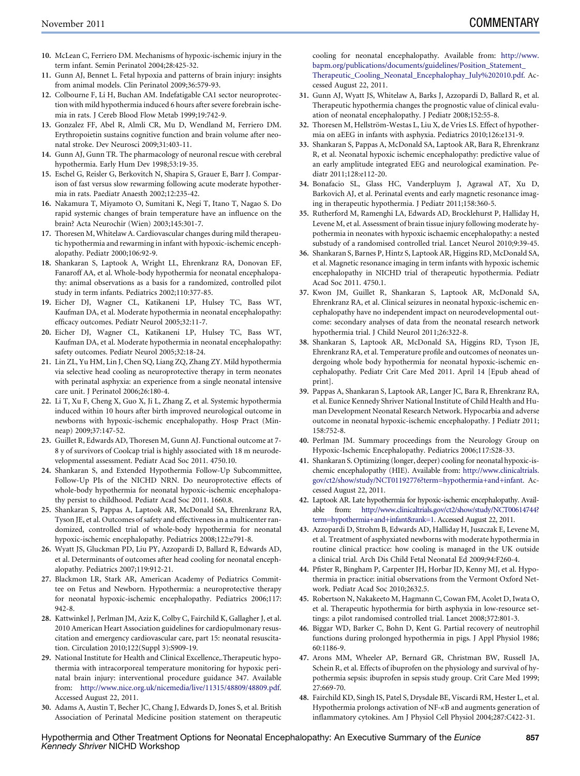- <span id="page-6-0"></span>10. McLean C, Ferriero DM. Mechanisms of hypoxic-ischemic injury in the term infant. Semin Perinatol 2004;28:425-32.
- 11. Gunn AJ, Bennet L. Fetal hypoxia and patterns of brain injury: insights from animal models. Clin Perinatol 2009;36:579-93.
- 12. Colbourne F, Li H, Buchan AM. Indefatigable CA1 sector neuroprotection with mild hypothermia induced 6 hours after severe forebrain ischemia in rats. J Cereb Blood Flow Metab 1999;19:742-9.
- 13. Gonzalez FF, Abel R, Almli CR, Mu D, Wendland M, Ferriero DM. Erythropoietin sustains cognitive function and brain volume after neonatal stroke. Dev Neurosci 2009;31:403-11.
- 14. Gunn AJ, Gunn TR. The pharmacology of neuronal rescue with cerebral hypothermia. Early Hum Dev 1998;53:19-35.
- 15. Eschel G, Reisler G, Berkovitch N, Shapira S, Grauer E, Barr J. Comparison of fast versus slow rewarming following acute moderate hypothermia in rats. Paediatr Anaesth 2002;12:235-42.
- 16. Nakamura T, Miyamoto O, Sumitani K, Negi T, Itano T, Nagao S. Do rapid systemic changes of brain temperature have an influence on the brain? Acta Neurochir (Wien) 2003;145:301-7.
- 17. Thoresen M, Whitelaw A. Cardiovascular changes during mild therapeutic hypothermia and rewarming in infant with hypoxic-ischemic encephalopathy. Pediatr 2000;106:92-9.
- 18. Shankaran S, Laptook A, Wright LL, Ehrenkranz RA, Donovan EF, Fanaroff AA, et al. Whole-body hypothermia for neonatal encephalopathy: animal observations as a basis for a randomized, controlled pilot study in term infants. Pediatrics 2002;110:377-85.
- 19. Eicher DJ, Wagner CL, Katikaneni LP, Hulsey TC, Bass WT, Kaufman DA, et al. Moderate hypothermia in neonatal encephalopathy: efficacy outcomes. Pediatr Neurol 2005;32:11-7.
- 20. Eicher DJ, Wagner CL, Katikaneni LP, Hulsey TC, Bass WT, Kaufman DA, et al. Moderate hypothermia in neonatal encephalopathy: safety outcomes. Pediatr Neurol 2005;32:18-24.
- 21. Lin ZL, Yu HM, Lin J, Chen SQ, Liang ZQ, Zhang ZY. Mild hypothermia via selective head cooling as neuroprotective therapy in term neonates with perinatal asphyxia: an experience from a single neonatal intensive care unit. J Perinatol 2006;26:180-4.
- 22. Li T, Xu F, Cheng X, Guo X, Ji L, Zhang Z, et al. Systemic hypothermia induced within 10 hours after birth improved neurological outcome in newborns with hypoxic-ischemic encephalopathy. Hosp Pract (Minneap) 2009;37:147-52.
- 23. Guillet R, Edwards AD, Thoresen M, Gunn AJ. Functional outcome at 7- 8 y of survivors of Coolcap trial is highly associated with 18 m neurodevelopmental assessment. Pediatr Acad Soc 2011. 4750.10.
- 24. Shankaran S, and Extended Hypothermia Follow-Up Subcommittee, Follow-Up PIs of the NICHD NRN. Do neuroprotective effects of whole-body hypothermia for neonatal hypoxic-ischemic encephalopathy persist to childhood. Pediatr Acad Soc 2011. 1660.8.
- 25. Shankaran S, Pappas A, Laptook AR, McDonald SA, Ehrenkranz RA, Tyson JE, et al. Outcomes of safety and effectiveness in a multicenter randomized, controlled trial of whole-body hypothermia for neonatal hypoxic-ischemic encephalopathy. Pediatrics 2008;122:e791-8.
- 26. Wyatt JS, Gluckman PD, Liu PY, Azzopardi D, Ballard R, Edwards AD, et al. Determinants of outcomes after head cooling for neonatal encephalopathy. Pediatrics 2007;119:912-21.
- 27. Blackmon LR, Stark AR, American Academy of Pediatrics Committee on Fetus and Newborn. Hypothermia: a neuroprotective therapy for neonatal hypoxic-ischemic encephalopathy. Pediatrics 2006;117: 942-8.
- 28. Kattwinkel J, Perlman JM, Aziz K, Colby C, Fairchild K, Gallagher J, et al. 2010 American Heart Association guidelines for cardiopulmonary resuscitation and emergency cardiovascular care, part 15: neonatal resuscitation. Circulation 2010;122(Suppl 3):S909-19.
- 29. National Institute for Health and Clinical Excellence,.Therapeutic hypothermia with intracorporeal temperature monitoring for hypoxic perinatal brain injury: interventional procedure guidance 347. Available from: <http://www.nice.org.uk/nicemedia/live/11315/48809/48809.pdf>. Accessed August 22, 2011.
- 30. Adams A, Austin T, Becher JC, Chang J, Edwards D, Jones S, et al. British Association of Perinatal Medicine position statement on therapeutic

cooling for neonatal encephalopathy. Available from: [http://www.](http://www.bapm.org/publications/documents/guidelines/Position_Statement_Therapeutic_Cooling_Neonatal_Encephalophay_July%202010.pdf) [bapm.org/publications/documents/guidelines/Position\\_Statement\\_](http://www.bapm.org/publications/documents/guidelines/Position_Statement_Therapeutic_Cooling_Neonatal_Encephalophay_July%202010.pdf) [Therapeutic\\_Cooling\\_Neonatal\\_Encephalophay\\_July%202010.pdf.](http://www.bapm.org/publications/documents/guidelines/Position_Statement_Therapeutic_Cooling_Neonatal_Encephalophay_July%202010.pdf) Accessed August 22, 2011.

- 31. Gunn AJ, Wyatt JS, Whitelaw A, Barks J, Azzopardi D, Ballard R, et al. Therapeutic hypothermia changes the prognostic value of clinical evaluation of neonatal encephalopathy. J Pediatr 2008;152:55-8.
- 32. Thoresen M, Hellström-Westas L, Liu X, de Vries LS. Effect of hypothermia on aEEG in infants with asphyxia. Pediatrics 2010;126:e131-9.
- 33. Shankaran S, Pappas A, McDonald SA, Laptook AR, Bara R, Ehrenkranz R, et al. Neonatal hypoxic ischemic encephalopathy: predictive value of an early amplitude integrated EEG and neurological examination. Pediatr 2011;128:e112-20.
- 34. Bonafacio SL, Glass HC, Vanderpluym J, Agrawal AT, Xu D, Barkovich AJ, et al. Perinatal events and early magnetic resonance imaging in therapeutic hypothermia. J Pediatr 2011;158:360-5.
- 35. Rutherford M, Ramenghi LA, Edwards AD, Brocklehurst P, Halliday H, Levene M, et al. Assessment of brain tissue injury following moderate hypothermia in neonates with hypoxic ischaemic encephalopathy: a nested substudy of a randomised controlled trial. Lancet Neurol 2010;9:39-45.
- 36. Shankaran S, Barnes P, Hintz S, Laptook AR, Higgins RD, McDonald SA, et al. Magnetic resonance imaging in term infants with hypoxic ischemic encephalopathy in NICHD trial of therapeutic hypothermia. Pediatr Acad Soc 2011. 4750.1.
- 37. Kwon JM, Guillet R, Shankaran S, Laptook AR, McDonald SA, Ehrenkranz RA, et al. Clinical seizures in neonatal hypoxic-ischemic encephalopathy have no independent impact on neurodevelopmental outcome: secondary analyses of data from the neonatal research network hypothermia trial. J Child Neurol 2011;26:322-8.
- 38. Shankaran S, Laptook AR, McDonald SA, Higgins RD, Tyson JE, Ehrenkranz RA, et al. Temperature profile and outcomes of neonates undergoing whole body hypothermia for neonatal hypoxic-ischemic encephalopathy. Pediatr Crit Care Med 2011. April 14 [Epub ahead of print].
- 39. Pappas A, Shankaran S, Laptook AR, Langer JC, Bara R, Ehrenkranz RA, et al. Eunice Kennedy Shriver National Institute of Child Health and Human Development Neonatal Research Network. Hypocarbia and adverse outcome in neonatal hypoxic-ischemic encephalopathy. J Pediatr 2011; 158:752-8.
- 40. Perlman JM. Summary proceedings from the Neurology Group on Hypoxic-Ischemic Encephalopathy. Pediatrics 2006;117:S28-33.
- 41. Shankaran S. Optimizing (longer, deeper) cooling for neonatal hypoxic-ischemic encephalopathy (HIE). Available from: [http://www.clinicaltrials.](http://www.clinicaltrials.gov/ct2/show/study/NCT01192776?term=hypothermia+and+infant) [gov/ct2/show/study/NCT01192776?term=hypothermia+and+infant](http://www.clinicaltrials.gov/ct2/show/study/NCT01192776?term=hypothermia+and+infant). Accessed August 22, 2011.
- 42. Laptook AR. Late hypothermia for hypoxic-ischemic encephalopathy. Available from: [http://www.clinicaltrials.gov/ct2/show/study/NCT00614744?](http://www.clinicaltrials.gov/ct2/show/study/NCT00614744?term=hypothermia+and+infant%26rank=1) [term=hypothermia+and+infant&rank=1.](http://www.clinicaltrials.gov/ct2/show/study/NCT00614744?term=hypothermia+and+infant%26rank=1) Accessed August 22, 2011.
- 43. Azzopardi D, Strohm B, Edwards AD, Halliday H, Juszczak E, Levene M, et al. Treatment of asphyxiated newborns with moderate hypothermia in routine clinical practice: how cooling is managed in the UK outside a clinical trial. Arch Dis Child Fetal Neonatal Ed 2009;94:F260-4.
- 44. Pfister R, Bingham P, Carpenter JH, Horbar JD, Kenny MJ, et al. Hypothermia in practice: initial observations from the Vermont Oxford Network. Pediatr Acad Soc 2010;2632.5.
- 45. Robertson N, Nakakeeto M, Hagmann C, Cowan FM, Acolet D, Iwata O, et al. Therapeutic hypothermia for birth asphyxia in low-resource settings: a pilot randomised controlled trial. Lancet 2008;372:801-3.
- 46. Biggar WD, Barker C, Bohn D, Kent G. Partial recovery of neutrophil functions during prolonged hypothermia in pigs. J Appl Physiol 1986; 60:1186-9.
- 47. Arons MM, Wheeler AP, Bernard GR, Christman BW, Russell JA, Schein R, et al. Effects of ibuprofen on the physiology and survival of hypothermia sepsis: ibuprofen in sepsis study group. Crit Care Med 1999; 27:669-70.
- 48. Fairchild KD, Singh IS, Patel S, Drysdale BE, Viscardi RM, Hester L, et al. Hypothermia prolongs activation of NF- $\kappa$ B and augments generation of inflammatory cytokines. Am J Physiol Cell Physiol 2004;287:C422-31.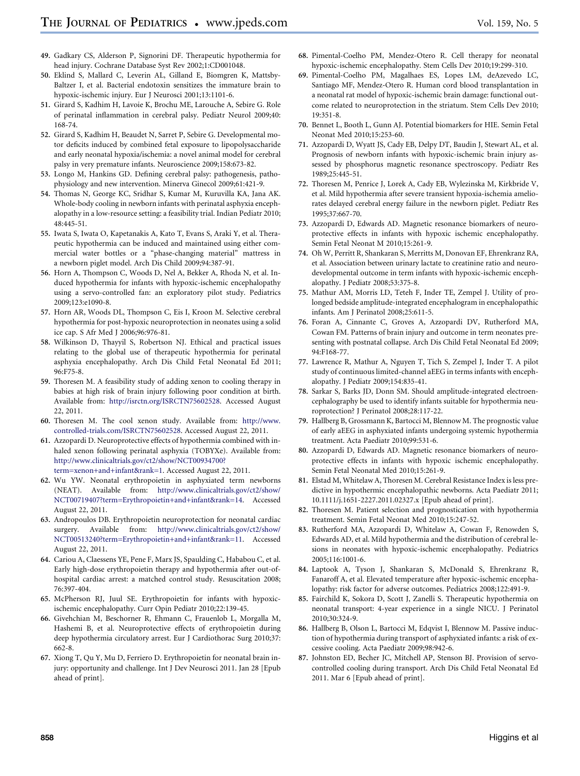- <span id="page-7-0"></span>49. Gadkary CS, Alderson P, Signorini DF. Therapeutic hypothermia for head injury. Cochrane Database Syst Rev 2002;1:CD001048.
- 50. Eklind S, Mallard C, Leverin AL, Gilland E, Biomgren K, Mattsby-Baltzer I, et al. Bacterial endotoxin sensitizes the immature brain to hypoxic-ischemic injury. Eur J Neurosci 2001;13:1101-6.
- 51. Girard S, Kadhim H, Lavoie K, Brochu ME, Larouche A, Sebire G. Role of perinatal inflammation in cerebral palsy. Pediatr Neurol 2009;40: 168-74.
- 52. Girard S, Kadhim H, Beaudet N, Sarret P, Sebire G. Developmental motor deficits induced by combined fetal exposure to lipopolysaccharide and early neonatal hypoxia/ischemia: a novel animal model for cerebral palsy in very premature infants. Neuroscience 2009;158:673-82.
- 53. Longo M, Hankins GD. Defining cerebral palsy: pathogenesis, pathophysiology and new intervention. Minerva Ginecol 2009;61:421-9.
- 54. Thomas N, George KC, Sridhar S, Kumar M, Kuruvilla KA, Jana AK. Whole-body cooling in newborn infants with perinatal asphyxia encephalopathy in a low-resource setting: a feasibility trial. Indian Pediatr 2010; 48:445-51.
- 55. Iwata S, Iwata O, Kapetanakis A, Kato T, Evans S, Araki Y, et al. Therapeutic hypothermia can be induced and maintained using either commercial water bottles or a ''phase-changing material'' mattress in a newborn piglet model. Arch Dis Child 2009;94:387-91.
- 56. Horn A, Thompson C, Woods D, Nel A, Bekker A, Rhoda N, et al. Induced hypothermia for infants with hypoxic-ischemic encephalopathy using a servo-controlled fan: an exploratory pilot study. Pediatrics 2009;123:e1090-8.
- 57. Horn AR, Woods DL, Thompson C, Eis I, Kroon M. Selective cerebral hypothermia for post-hypoxic neuroprotection in neonates using a solid ice cap. S Afr Med J 2006;96:976-81.
- 58. Wilkinson D, Thayyil S, Robertson NJ. Ethical and practical issues relating to the global use of therapeutic hypothermia for perinatal asphyxia encephalopathy. Arch Dis Child Fetal Neonatal Ed 2011; 96:F75-8.
- 59. Thoresen M. A feasibility study of adding xenon to cooling therapy in babies at high risk of brain injury following poor condition at birth. Available from: [http://isrctn.org/ISRCTN75602528.](http://isrctn.org/ISRCTN75602528) Accessed August 22, 2011.
- 60. Thoresen M. The cool xenon study. Available from: [http://www.](http://www.controlled-trials.com/ISRCTN75602528) [controlled-trials.com/ISRCTN75602528](http://www.controlled-trials.com/ISRCTN75602528). Accessed August 22, 2011.
- 61. Azzopardi D. Neuroprotective effects of hypothermia combined with inhaled xenon following perinatal asphyxia (TOBYXe). Available from: [http://www.clinicaltrials.gov/ct2/show/NCT00934700?](http://www.clinicaltrials.gov/ct2/show/NCT00934700?term=xenon+and+infant&rank=1) [term=xenon+and+infant&rank=1](http://www.clinicaltrials.gov/ct2/show/NCT00934700?term=xenon+and+infant&rank=1). Accessed August 22, 2011.
- 62. Wu YW. Neonatal erythropoietin in asphyxiated term newborns (NEAT). Available from: [http://www.clinicaltrials.gov/ct2/show/](http://www.clinicaltrials.gov/ct2/show/NCT00719407?term=Erythropoietin+and+infant%26rank=14) [NCT00719407?term=Erythropoietin+and+infant&rank=14.](http://www.clinicaltrials.gov/ct2/show/NCT00719407?term=Erythropoietin+and+infant%26rank=14) Accessed August 22, 2011.
- 63. Andropoulos DB. Erythropoietin neuroprotection for neonatal cardiac surgery. Available from: [http://www.clinicaltrials.gov/ct2/show/](http://www.clinicaltrials.gov/ct2/show/NCT00513240?term=Erythropoietin+and+infant%26rank=11) [NCT00513240?term=Erythropoietin+and+infant&rank=11.](http://www.clinicaltrials.gov/ct2/show/NCT00513240?term=Erythropoietin+and+infant%26rank=11) Accessed August 22, 2011.
- 64. Cariou A, Claessens YE, Pene F, Marx JS, Spaulding C, Hababou C, et al. Early high-dose erythropoietin therapy and hypothermia after out-ofhospital cardiac arrest: a matched control study. Resuscitation 2008; 76:397-404.
- 65. McPherson RJ, Juul SE. Erythropoietin for infants with hypoxicischemic encephalopathy. Curr Opin Pediatr 2010;22:139-45.
- 66. Givehchian M, Beschorner R, Ehmann C, Frauenlob L, Morgalla M, Hashemi B, et al. Neuroprotective effects of erythropoietin during deep hypothermia circulatory arrest. Eur J Cardiothorac Surg 2010;37: 662-8.
- 67. Xiong T, Qu Y, Mu D, Ferriero D. Erythropoietin for neonatal brain injury: opportunity and challenge. Int J Dev Neurosci 2011. Jan 28 [Epub ahead of print].
- 68. Pimental-Coelho PM, Mendez-Otero R. Cell therapy for neonatal hypoxic-ischemic encephalopathy. Stem Cells Dev 2010;19:299-310.
- 69. Pimental-Coelho PM, Magalhaes ES, Lopes LM, deAzevedo LC, Santiago MF, Mendez-Otero R. Human cord blood transplantation in a neonatal rat model of hypoxic-ischemic brain damage: functional outcome related to neuroprotection in the striatum. Stem Cells Dev 2010; 19:351-8.
- 70. Bennet L, Booth L, Gunn AJ. Potential biomarkers for HIE. Semin Fetal Neonat Med 2010;15:253-60.
- 71. Azzopardi D, Wyatt JS, Cady EB, Delpy DT, Baudin J, Stewart AL, et al. Prognosis of newborn infants with hypoxic-ischemic brain injury assessed by phosphorus magnetic resonance spectroscopy. Pediatr Res 1989;25:445-51.
- 72. Thoresen M, Penrice J, Lorek A, Cady EB, Wylezinska M, Kirkbride V, et al. Mild hypothermia after severe transient hypoxia-ischemia ameliorates delayed cerebral energy failure in the newborn piglet. Pediatr Res 1995;37:667-70.
- 73. Azzopardi D, Edwards AD. Magnetic resonance biomarkers of neuroprotective effects in infants with hypoxic ischemic encephalopathy. Semin Fetal Neonat M 2010;15:261-9.
- 74. Oh W, Perritt R, Shankaran S, Merritts M, Donovan EF, Ehrenkranz RA, et al. Association between urinary lactate to creatinine ratio and neurodevelopmental outcome in term infants with hypoxic-ischemic encephalopathy. J Pediatr 2008;53:375-8.
- 75. Mathur AM, Morris LD, Teteh F, Inder TE, Zempel J. Utility of prolonged bedside amplitude-integrated encephalogram in encephalopathic infants. Am J Perinatol 2008;25:611-5.
- 76. Foran A, Cinnante C, Groves A, Azzopardi DV, Rutherford MA, Cowan FM. Patterns of brain injury and outcome in term neonates presenting with postnatal collapse. Arch Dis Child Fetal Neonatal Ed 2009; 94:F168-77.
- 77. Lawrence R, Mathur A, Nguyen T, Tich S, Zempel J, Inder T. A pilot study of continuous limited-channel aEEG in terms infants with encephalopathy. J Pediatr 2009;154:835-41.
- 78. Sarkar S, Barks JD, Donn SM. Should amplitude-integrated electroencephalography be used to identify infants suitable for hypothermia neuroprotection? J Perinatol 2008;28:117-22.
- 79. Hallberg B, Grossmann K, Bartocci M, Blennow M. The prognostic value of early aEEG in asphyxiated infants undergoing systemic hypothermia treatment. Acta Paediatr 2010;99:531-6.
- 80. Azzopardi D, Edwards AD. Magnetic resonance biomarkers of neuroprotective effects in infants with hypoxic ischemic encephalopathy. Semin Fetal Neonatal Med 2010;15:261-9.
- 81. Elstad M, Whitelaw A, Thoresen M. Cerebral Resistance Index is less predictive in hypothermic encephalopathic newborns. Acta Paediatr 2011; 10.1111/j.1651-2227.2011.02327.x [Epub ahead of print].
- 82. Thoresen M. Patient selection and prognostication with hypothermia treatment. Semin Fetal Neonat Med 2010;15:247-52.
- 83. Rutherford MA, Azzopardi D, Whitelaw A, Cowan F, Renowden S, Edwards AD, et al. Mild hypothermia and the distribution of cerebral lesions in neonates with hypoxic-ischemic encephalopathy. Pediatrics 2005;116:1001-6.
- 84. Laptook A, Tyson J, Shankaran S, McDonald S, Ehrenkranz R, Fanaroff A, et al. Elevated temperature after hypoxic-ischemic encephalopathy: risk factor for adverse outcomes. Pediatrics 2008;122:491-9.
- 85. Fairchild K, Sokora D, Scott J, Zanelli S. Therapeutic hypothermia on neonatal transport: 4-year experience in a single NICU. J Perinatol 2010;30:324-9.
- 86. Hallberg B, Olson L, Bartocci M, Edqvist I, Blennow M. Passive induction of hypothermia during transport of asphyxiated infants: a risk of excessive cooling. Acta Paediatr 2009;98:942-6.
- 87. Johnston ED, Becher JC, Mitchell AP, Stenson BJ. Provision of servocontrolled cooling during transport. Arch Dis Child Fetal Neonatal Ed 2011. Mar 6 [Epub ahead of print].